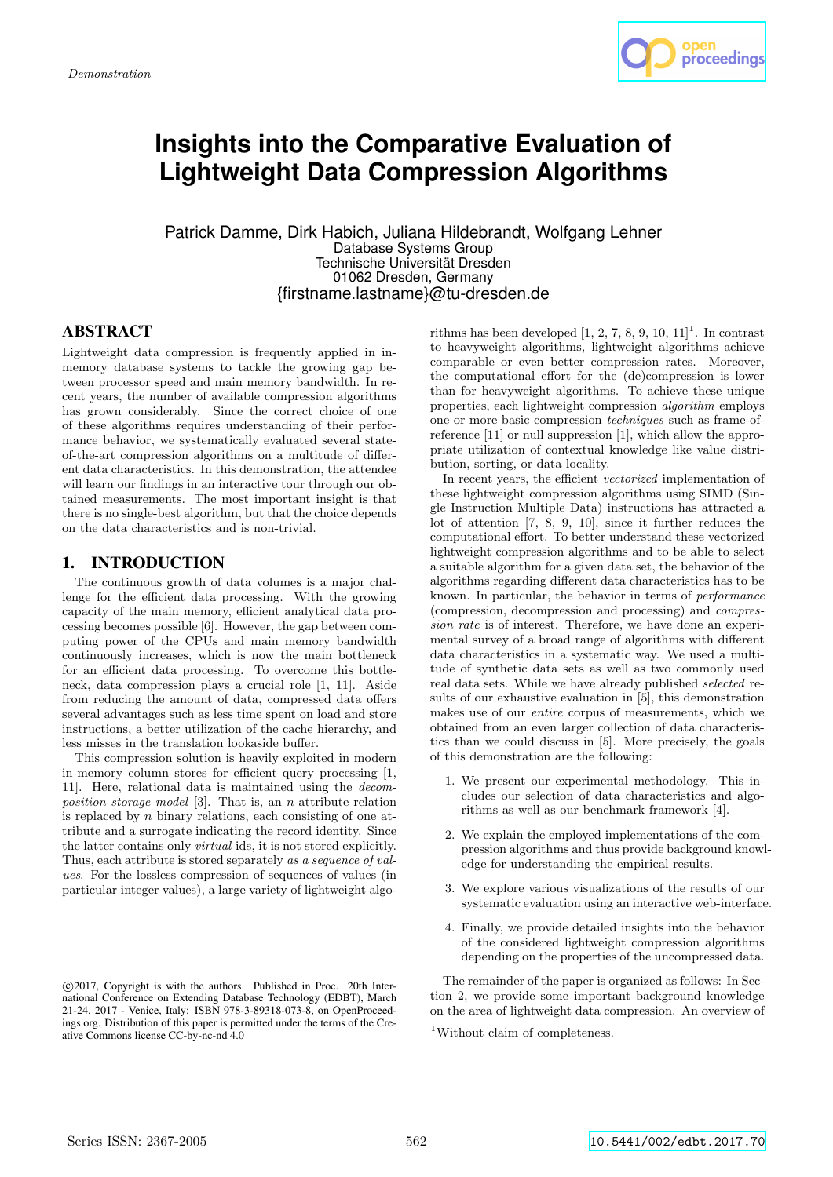

# **Insights into the Comparative Evaluation of Lightweight Data Compression Algorithms**

Patrick Damme, Dirk Habich, Juliana Hildebrandt, Wolfgang Lehner Database Systems Group Technische Universität Dresden 01062 Dresden, Germany {firstname.lastname}@tu-dresden.de

# **ABSTRACT**

Lightweight data compression is frequently applied in inmemory database systems to tackle the growing gap between processor speed and main memory bandwidth. In recent years, the number of available compression algorithms has grown considerably. Since the correct choice of one of these algorithms requires understanding of their performance behavior, we systematically evaluated several stateof-the-art compression algorithms on a multitude of different data characteristics. In this demonstration, the attendee will learn our findings in an interactive tour through our obtained measurements. The most important insight is that there is no single-best algorithm, but that the choice depends on the data characteristics and is non-trivial.

# 1. INTRODUCTION

The continuous growth of data volumes is a major challenge for the efficient data processing. With the growing capacity of the main memory, efficient analytical data processing becomes possible [6]. However, the gap between computing power of the CPUs and main memory bandwidth continuously increases, which is now the main bottleneck for an efficient data processing. To overcome this bottleneck, data compression plays a crucial role [1, 11]. Aside from reducing the amount of data, compressed data offers several advantages such as less time spent on load and store instructions, a better utilization of the cache hierarchy, and less misses in the translation lookaside buffer.

This compression solution is heavily exploited in modern in-memory column stores for efficient query processing [1, 11]. Here, relational data is maintained using the decomposition storage model [3]. That is, an n-attribute relation is replaced by  $n$  binary relations, each consisting of one attribute and a surrogate indicating the record identity. Since the latter contains only virtual ids, it is not stored explicitly. Thus, each attribute is stored separately as a sequence of values. For the lossless compression of sequences of values (in particular integer values), a large variety of lightweight algo-

rithms has been developed  $[1, 2, 7, 8, 9, 10, 11]$ <sup>1</sup>. In contrast to heavyweight algorithms, lightweight algorithms achieve comparable or even better compression rates. Moreover, the computational effort for the (de)compression is lower than for heavyweight algorithms. To achieve these unique properties, each lightweight compression algorithm employs one or more basic compression techniques such as frame-ofreference [11] or null suppression [1], which allow the appropriate utilization of contextual knowledge like value distribution, sorting, or data locality.

In recent years, the efficient vectorized implementation of these lightweight compression algorithms using SIMD (Single Instruction Multiple Data) instructions has attracted a lot of attention [7, 8, 9, 10], since it further reduces the computational effort. To better understand these vectorized lightweight compression algorithms and to be able to select a suitable algorithm for a given data set, the behavior of the algorithms regarding different data characteristics has to be known. In particular, the behavior in terms of performance (compression, decompression and processing) and compression rate is of interest. Therefore, we have done an experimental survey of a broad range of algorithms with different data characteristics in a systematic way. We used a multitude of synthetic data sets as well as two commonly used real data sets. While we have already published selected results of our exhaustive evaluation in [5], this demonstration makes use of our entire corpus of measurements, which we obtained from an even larger collection of data characteristics than we could discuss in [5]. More precisely, the goals of this demonstration are the following:

- 1. We present our experimental methodology. This includes our selection of data characteristics and algorithms as well as our benchmark framework [4].
- 2. We explain the employed implementations of the compression algorithms and thus provide background knowledge for understanding the empirical results.
- 3. We explore various visualizations of the results of our systematic evaluation using an interactive web-interface.
- 4. Finally, we provide detailed insights into the behavior of the considered lightweight compression algorithms depending on the properties of the uncompressed data.

The remainder of the paper is organized as follows: In Section 2, we provide some important background knowledge on the area of lightweight data compression. An overview of

c 2017, Copyright is with the authors. Published in Proc. 20th International Conference on Extending Database Technology (EDBT), March 21-24, 2017 - Venice, Italy: ISBN 978-3-89318-073-8, on OpenProceedings.org. Distribution of this paper is permitted under the terms of the Creative Commons license CC-by-nc-nd 4.0

<sup>&</sup>lt;sup>1</sup>Without claim of completeness.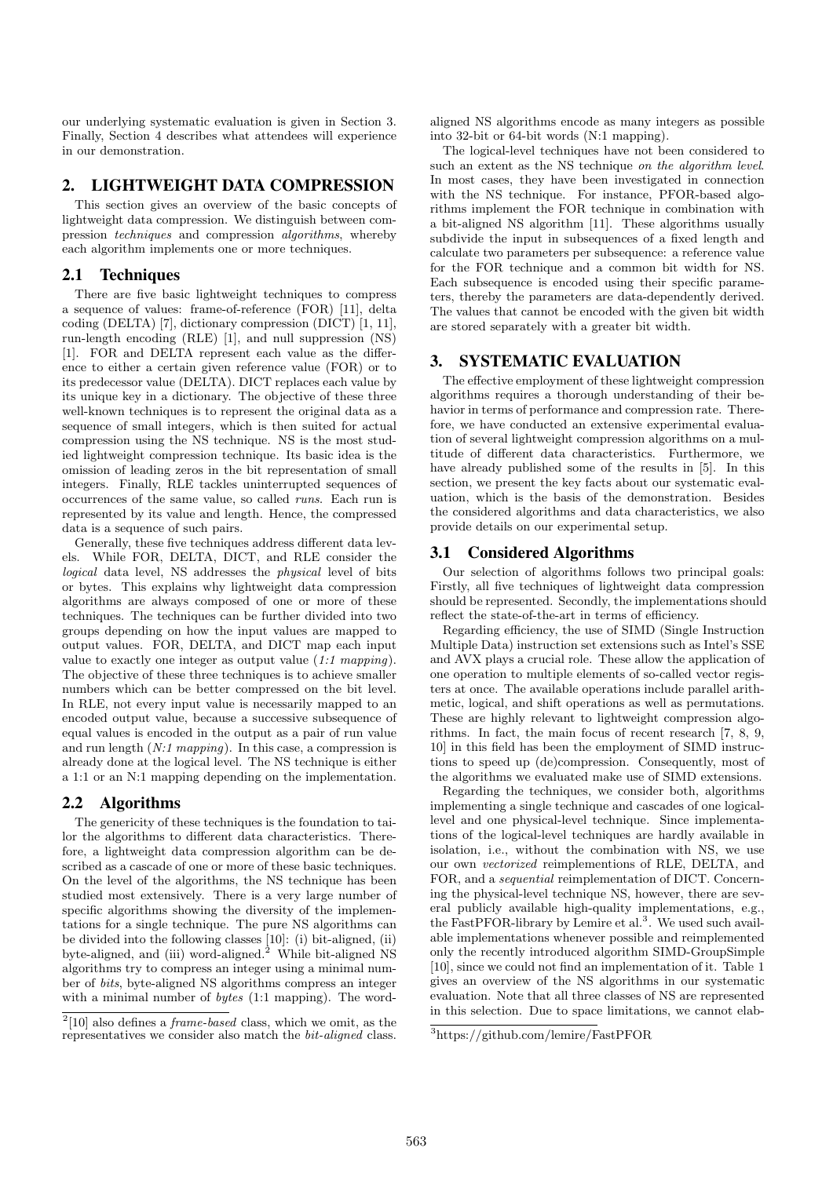our underlying systematic evaluation is given in Section 3. Finally, Section 4 describes what attendees will experience in our demonstration.

## 2. LIGHTWEIGHT DATA COMPRESSION

This section gives an overview of the basic concepts of lightweight data compression. We distinguish between compression techniques and compression algorithms, whereby each algorithm implements one or more techniques.

## 2.1 Techniques

There are five basic lightweight techniques to compress a sequence of values: frame-of-reference (FOR) [11], delta coding (DELTA) [7], dictionary compression (DICT) [1, 11], run-length encoding (RLE) [1], and null suppression (NS) [1]. FOR and DELTA represent each value as the difference to either a certain given reference value (FOR) or to its predecessor value (DELTA). DICT replaces each value by its unique key in a dictionary. The objective of these three well-known techniques is to represent the original data as a sequence of small integers, which is then suited for actual compression using the NS technique. NS is the most studied lightweight compression technique. Its basic idea is the omission of leading zeros in the bit representation of small integers. Finally, RLE tackles uninterrupted sequences of occurrences of the same value, so called runs. Each run is represented by its value and length. Hence, the compressed data is a sequence of such pairs.

Generally, these five techniques address different data levels. While FOR, DELTA, DICT, and RLE consider the logical data level, NS addresses the physical level of bits or bytes. This explains why lightweight data compression algorithms are always composed of one or more of these techniques. The techniques can be further divided into two groups depending on how the input values are mapped to output values. FOR, DELTA, and DICT map each input value to exactly one integer as output value (1:1 mapping). The objective of these three techniques is to achieve smaller numbers which can be better compressed on the bit level. In RLE, not every input value is necessarily mapped to an encoded output value, because a successive subsequence of equal values is encoded in the output as a pair of run value and run length  $(N:1$  mapping). In this case, a compression is already done at the logical level. The NS technique is either a 1:1 or an N:1 mapping depending on the implementation.

# 2.2 Algorithms

The genericity of these techniques is the foundation to tailor the algorithms to different data characteristics. Therefore, a lightweight data compression algorithm can be described as a cascade of one or more of these basic techniques. On the level of the algorithms, the NS technique has been studied most extensively. There is a very large number of specific algorithms showing the diversity of the implementations for a single technique. The pure NS algorithms can be divided into the following classes [10]: (i) bit-aligned, (ii) byte-aligned, and (iii) word-aligned.<sup>2</sup> While bit-aligned NS algorithms try to compress an integer using a minimal number of bits, byte-aligned NS algorithms compress an integer with a minimal number of *bytes* (1:1 mapping). The wordaligned NS algorithms encode as many integers as possible into 32-bit or 64-bit words (N:1 mapping).

The logical-level techniques have not been considered to such an extent as the NS technique *on the algorithm level*. In most cases, they have been investigated in connection with the NS technique. For instance, PFOR-based algorithms implement the FOR technique in combination with a bit-aligned NS algorithm [11]. These algorithms usually subdivide the input in subsequences of a fixed length and calculate two parameters per subsequence: a reference value for the FOR technique and a common bit width for NS. Each subsequence is encoded using their specific parameters, thereby the parameters are data-dependently derived. The values that cannot be encoded with the given bit width are stored separately with a greater bit width.

## 3. SYSTEMATIC EVALUATION

The effective employment of these lightweight compression algorithms requires a thorough understanding of their behavior in terms of performance and compression rate. Therefore, we have conducted an extensive experimental evaluation of several lightweight compression algorithms on a multitude of different data characteristics. Furthermore, we have already published some of the results in [5]. In this section, we present the key facts about our systematic evaluation, which is the basis of the demonstration. Besides the considered algorithms and data characteristics, we also provide details on our experimental setup.

# 3.1 Considered Algorithms

Our selection of algorithms follows two principal goals: Firstly, all five techniques of lightweight data compression should be represented. Secondly, the implementations should reflect the state-of-the-art in terms of efficiency.

Regarding efficiency, the use of SIMD (Single Instruction Multiple Data) instruction set extensions such as Intel's SSE and AVX plays a crucial role. These allow the application of one operation to multiple elements of so-called vector registers at once. The available operations include parallel arithmetic, logical, and shift operations as well as permutations. These are highly relevant to lightweight compression algorithms. In fact, the main focus of recent research [7, 8, 9, 10] in this field has been the employment of SIMD instructions to speed up (de)compression. Consequently, most of the algorithms we evaluated make use of SIMD extensions.

Regarding the techniques, we consider both, algorithms implementing a single technique and cascades of one logicallevel and one physical-level technique. Since implementations of the logical-level techniques are hardly available in isolation, i.e., without the combination with NS, we use our own vectorized reimplementions of RLE, DELTA, and FOR, and a sequential reimplementation of DICT. Concerning the physical-level technique NS, however, there are several publicly available high-quality implementations, e.g., the FastPFOR-library by Lemire et al.<sup>3</sup>. We used such available implementations whenever possible and reimplemented only the recently introduced algorithm SIMD-GroupSimple [10], since we could not find an implementation of it. Table 1 gives an overview of the NS algorithms in our systematic evaluation. Note that all three classes of NS are represented in this selection. Due to space limitations, we cannot elab-

 $2[10]$  also defines a *frame-based* class, which we omit, as the representatives we consider also match the bit-aligned class.

<sup>3</sup>https://github.com/lemire/FastPFOR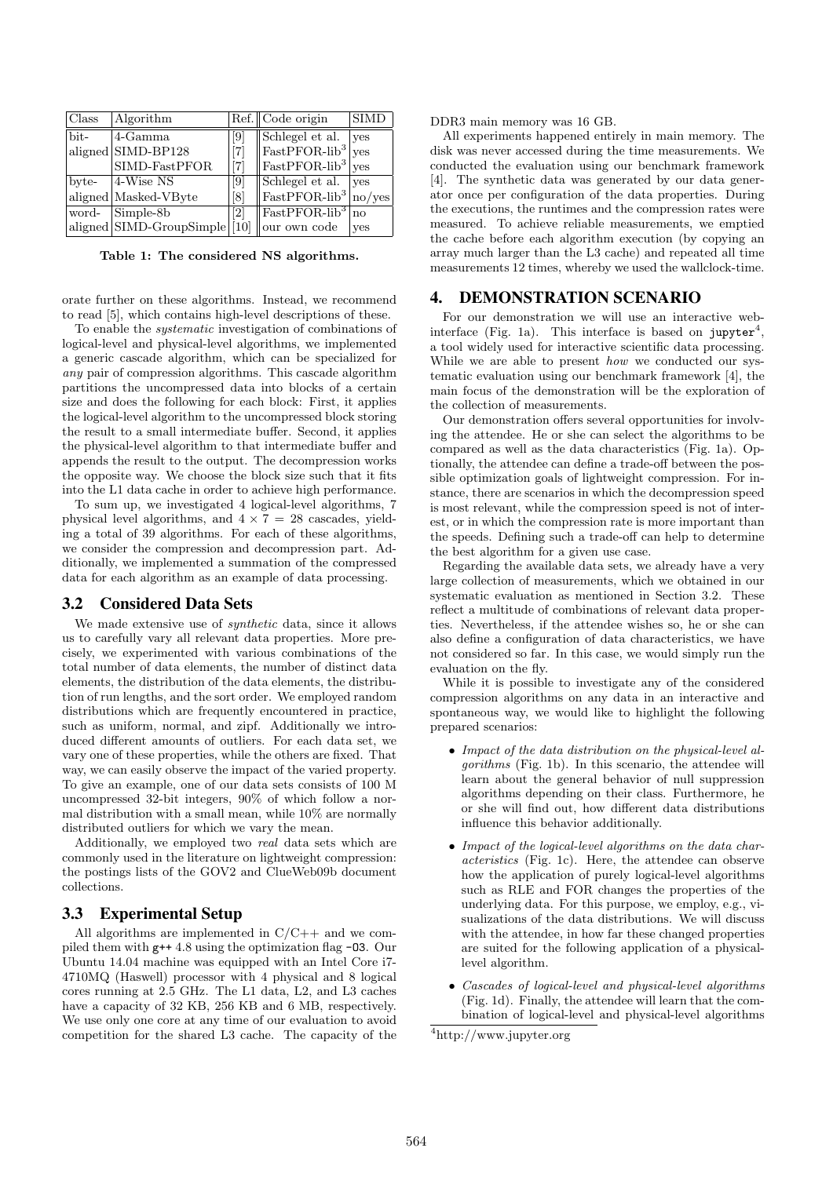| Class | Algorithm                     |                    | Ref. Code origin                               |              |
|-------|-------------------------------|--------------------|------------------------------------------------|--------------|
| bit-  | 4-Gamma                       | $\left[ 9 \right]$ | Schlegel et al.                                | $ {\rm ves}$ |
|       | aligned SIMD-BP128            | $\lceil 7 \rceil$  | $ FastPPOR-lib3 yes$                           |              |
|       | SIMD-FastPFOR                 | $[7]$              | $\ \text{FastPPOR-lib}^3\ _{\text{yes}}$       |              |
| byte- | $ 4-Wise NS$                  | $\left[ 9 \right]$ | Schlegel et al.   yes                          |              |
|       | aligned Masked-VByte          | $\lvert 8 \rvert$  | $\frac{1}{1}$ FastPFOR-lib <sup>3</sup> no/yes |              |
| word- | Simple-8b                     | [2]                | $\sqrt{\text{FastPPFOR-lib}^3}$ no             |              |
|       | aligned SIMD-GroupSimple [10] |                    | our own code                                   | <b>ves</b>   |

Table 1: The considered NS algorithms.

orate further on these algorithms. Instead, we recommend to read [5], which contains high-level descriptions of these.

To enable the systematic investigation of combinations of logical-level and physical-level algorithms, we implemented a generic cascade algorithm, which can be specialized for any pair of compression algorithms. This cascade algorithm partitions the uncompressed data into blocks of a certain size and does the following for each block: First, it applies the logical-level algorithm to the uncompressed block storing the result to a small intermediate buffer. Second, it applies the physical-level algorithm to that intermediate buffer and appends the result to the output. The decompression works the opposite way. We choose the block size such that it fits into the L1 data cache in order to achieve high performance.

To sum up, we investigated 4 logical-level algorithms, 7 physical level algorithms, and  $4 \times 7 = 28$  cascades, yielding a total of 39 algorithms. For each of these algorithms, we consider the compression and decompression part. Additionally, we implemented a summation of the compressed data for each algorithm as an example of data processing.

#### 3.2 Considered Data Sets

We made extensive use of *synthetic* data, since it allows us to carefully vary all relevant data properties. More precisely, we experimented with various combinations of the total number of data elements, the number of distinct data elements, the distribution of the data elements, the distribution of run lengths, and the sort order. We employed random distributions which are frequently encountered in practice, such as uniform, normal, and zipf. Additionally we introduced different amounts of outliers. For each data set, we vary one of these properties, while the others are fixed. That way, we can easily observe the impact of the varied property. To give an example, one of our data sets consists of 100 M uncompressed 32-bit integers, 90% of which follow a normal distribution with a small mean, while 10% are normally distributed outliers for which we vary the mean.

Additionally, we employed two real data sets which are commonly used in the literature on lightweight compression: the postings lists of the GOV2 and ClueWeb09b document collections.

#### 3.3 Experimental Setup

All algorithms are implemented in C/C++ and we compiled them with g++ 4.8 using the optimization flag -O3. Our Ubuntu 14.04 machine was equipped with an Intel Core i7- 4710MQ (Haswell) processor with 4 physical and 8 logical cores running at 2.5 GHz. The L1 data, L2, and L3 caches have a capacity of 32 KB, 256 KB and 6 MB, respectively. We use only one core at any time of our evaluation to avoid competition for the shared L3 cache. The capacity of the

DDR3 main memory was 16 GB.

All experiments happened entirely in main memory. The disk was never accessed during the time measurements. We conducted the evaluation using our benchmark framework [4]. The synthetic data was generated by our data generator once per configuration of the data properties. During the executions, the runtimes and the compression rates were measured. To achieve reliable measurements, we emptied the cache before each algorithm execution (by copying an array much larger than the L3 cache) and repeated all time measurements 12 times, whereby we used the wallclock-time.

## 4. DEMONSTRATION SCENARIO

For our demonstration we will use an interactive webinterface (Fig. 1a). This interface is based on jupyter<sup>4</sup>, a tool widely used for interactive scientific data processing. While we are able to present how we conducted our systematic evaluation using our benchmark framework [4], the main focus of the demonstration will be the exploration of the collection of measurements.

Our demonstration offers several opportunities for involving the attendee. He or she can select the algorithms to be compared as well as the data characteristics (Fig. 1a). Optionally, the attendee can define a trade-off between the possible optimization goals of lightweight compression. For instance, there are scenarios in which the decompression speed is most relevant, while the compression speed is not of interest, or in which the compression rate is more important than the speeds. Defining such a trade-off can help to determine the best algorithm for a given use case.

Regarding the available data sets, we already have a very large collection of measurements, which we obtained in our systematic evaluation as mentioned in Section 3.2. These reflect a multitude of combinations of relevant data properties. Nevertheless, if the attendee wishes so, he or she can also define a configuration of data characteristics, we have not considered so far. In this case, we would simply run the evaluation on the fly.

While it is possible to investigate any of the considered compression algorithms on any data in an interactive and spontaneous way, we would like to highlight the following prepared scenarios:

- Impact of the data distribution on the physical-level algorithms (Fig. 1b). In this scenario, the attendee will learn about the general behavior of null suppression algorithms depending on their class. Furthermore, he or she will find out, how different data distributions influence this behavior additionally.
- Impact of the logical-level algorithms on the data characteristics (Fig. 1c). Here, the attendee can observe how the application of purely logical-level algorithms such as RLE and FOR changes the properties of the underlying data. For this purpose, we employ, e.g., visualizations of the data distributions. We will discuss with the attendee, in how far these changed properties are suited for the following application of a physicallevel algorithm.
- Cascades of logical-level and physical-level algorithms (Fig. 1d). Finally, the attendee will learn that the combination of logical-level and physical-level algorithms

<sup>4</sup>http://www.jupyter.org